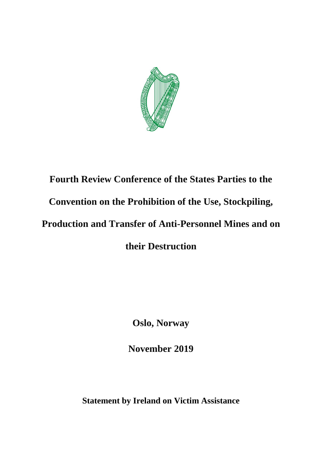

## **Fourth Review Conference of the States Parties to the Convention on the Prohibition of the Use, Stockpiling, Production and Transfer of Anti-Personnel Mines and on their Destruction**

**Oslo, Norway** 

**November 2019** 

**Statement by Ireland on Victim Assistance**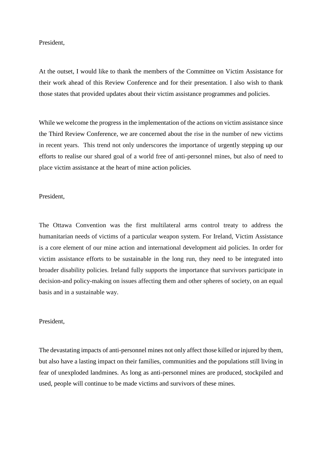## President,

At the outset, I would like to thank the members of the Committee on Victim Assistance for their work ahead of this Review Conference and for their presentation. I also wish to thank those states that provided updates about their victim assistance programmes and policies.

While we welcome the progress in the implementation of the actions on victim assistance since the Third Review Conference, we are concerned about the rise in the number of new victims in recent years. This trend not only underscores the importance of urgently stepping up our efforts to realise our shared goal of a world free of anti-personnel mines, but also of need to place victim assistance at the heart of mine action policies.

President,

The Ottawa Convention was the first multilateral arms control treaty to address the humanitarian needs of victims of a particular weapon system. For Ireland, Victim Assistance is a core element of our mine action and international development aid policies. In order for victim assistance efforts to be sustainable in the long run, they need to be integrated into broader disability policies. Ireland fully supports the importance that survivors participate in decision-and policy-making on issues affecting them and other spheres of society, on an equal basis and in a sustainable way.

## President,

The devastating impacts of anti-personnel mines not only affect those killed or injured by them, but also have a lasting impact on their families, communities and the populations still living in fear of unexploded landmines. As long as anti-personnel mines are produced, stockpiled and used, people will continue to be made victims and survivors of these mines.